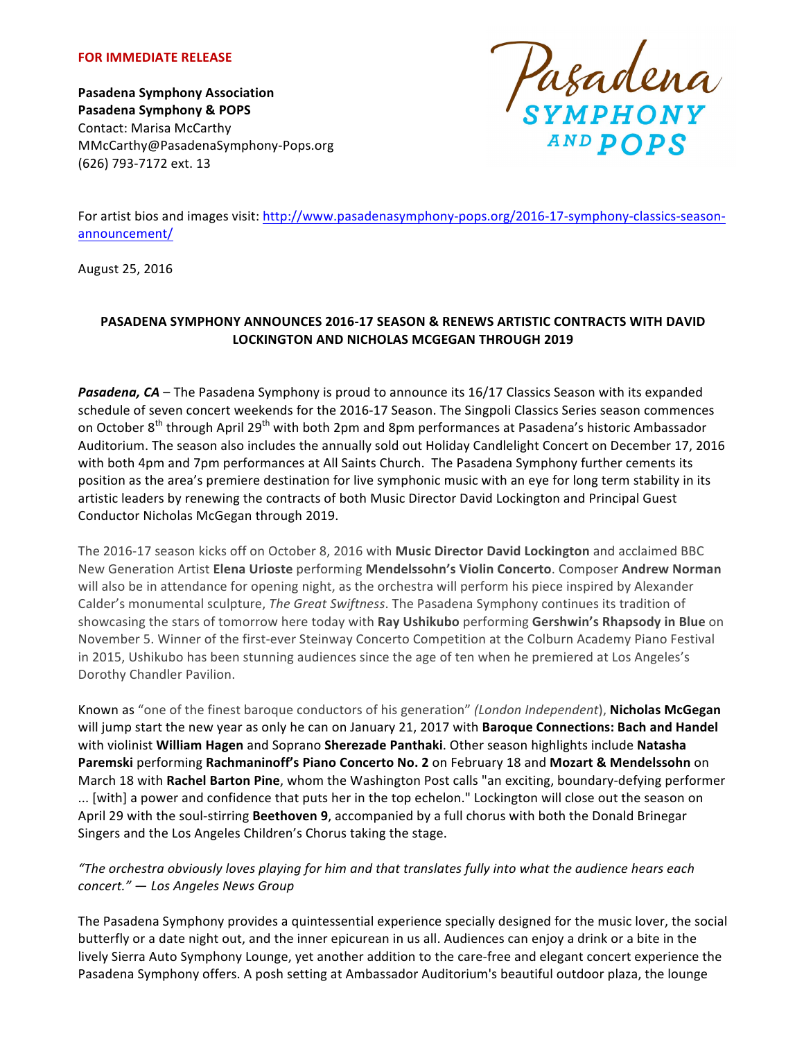#### **FOR IMMEDIATE RELEASE**

**Pasadena Symphony Association Pasadena Symphony & POPS** Contact: Marisa McCarthy MMcCarthy@PasadenaSymphony-Pops.org (626) 793-7172 ext. 13

Dagadena<br>symphony

For artist bios and images visit: http://www.pasadenasymphony-pops.org/2016-17-symphony-classics-seasonannouncement/

August 25, 2016

## **PASADENA SYMPHONY ANNOUNCES 2016-17 SEASON & RENEWS ARTISTIC CONTRACTS WITH DAVID LOCKINGTON AND NICHOLAS MCGEGAN THROUGH 2019**

**Pasadena, CA** – The Pasadena Symphony is proud to announce its 16/17 Classics Season with its expanded schedule of seven concert weekends for the 2016-17 Season. The Singpoli Classics Series season commences on October 8<sup>th</sup> through April 29<sup>th</sup> with both 2pm and 8pm performances at Pasadena's historic Ambassador Auditorium. The season also includes the annually sold out Holiday Candlelight Concert on December 17, 2016 with both 4pm and 7pm performances at All Saints Church. The Pasadena Symphony further cements its position as the area's premiere destination for live symphonic music with an eye for long term stability in its artistic leaders by renewing the contracts of both Music Director David Lockington and Principal Guest Conductor Nicholas McGegan through 2019.

The 2016-17 season kicks off on October 8, 2016 with **Music Director David Lockington** and acclaimed BBC New Generation Artist **Elena Urioste** performing **Mendelssohn's Violin Concerto**. Composer **Andrew Norman** will also be in attendance for opening night, as the orchestra will perform his piece inspired by Alexander Calder's monumental sculpture, *The Great Swiftness*. The Pasadena Symphony continues its tradition of showcasing the stars of tomorrow here today with Ray Ushikubo performing Gershwin's Rhapsody in Blue on November 5. Winner of the first-ever Steinway Concerto Competition at the Colburn Academy Piano Festival in 2015, Ushikubo has been stunning audiences since the age of ten when he premiered at Los Angeles's Dorothy Chandler Pavilion.

Known as "one of the finest baroque conductors of his generation" *(London Independent*), **Nicholas McGegan** will jump start the new year as only he can on January 21, 2017 with **Baroque Connections: Bach and Handel** with violinist **William Hagen** and Soprano **Sherezade Panthaki**. Other season highlights include **Natasha Paremski performing Rachmaninoff's Piano Concerto No. 2 on February 18 and Mozart & Mendelssohn on** March 18 with Rachel Barton Pine, whom the Washington Post calls "an exciting, boundary-defying performer ... [with] a power and confidence that puts her in the top echelon." Lockington will close out the season on April 29 with the soul-stirring Beethoven 9, accompanied by a full chorus with both the Donald Brinegar Singers and the Los Angeles Children's Chorus taking the stage.

## *"The orchestra obviously loves playing for him and that translates fully into what the audience hears each concert."* — *Los Angeles News Group*

The Pasadena Symphony provides a quintessential experience specially designed for the music lover, the social butterfly or a date night out, and the inner epicurean in us all. Audiences can enjoy a drink or a bite in the lively Sierra Auto Symphony Lounge, yet another addition to the care-free and elegant concert experience the Pasadena Symphony offers. A posh setting at Ambassador Auditorium's beautiful outdoor plaza, the lounge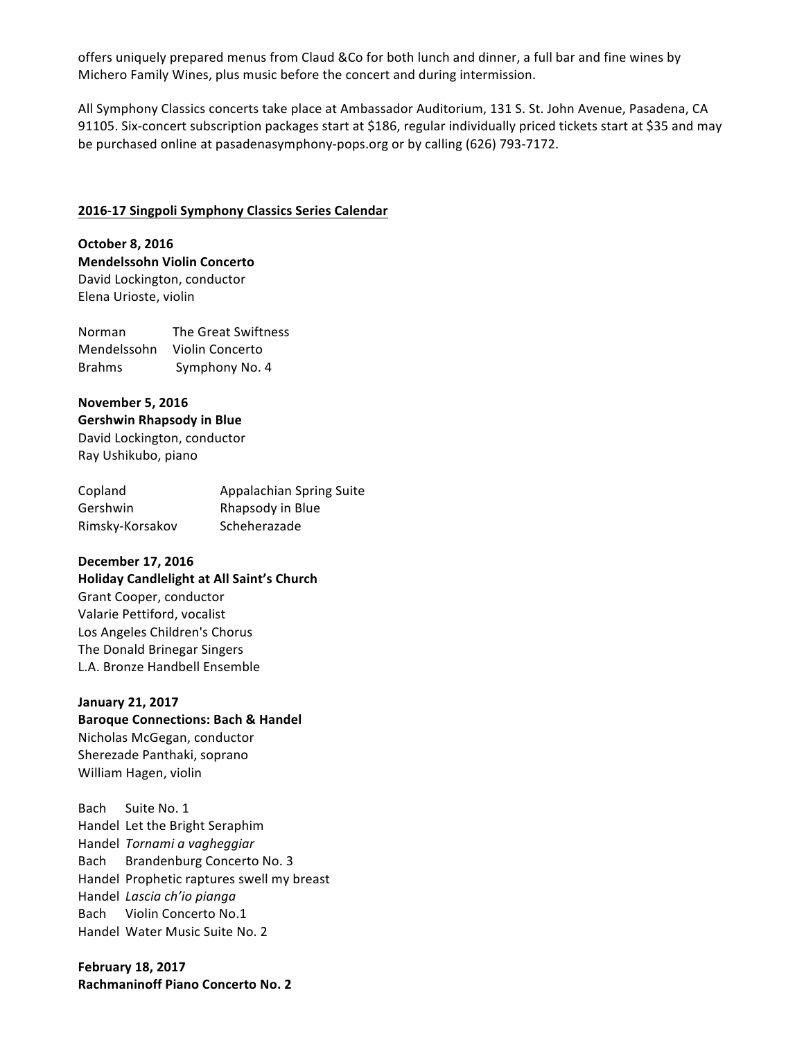offers uniquely prepared menus from Claud &Co for both lunch and dinner, a full bar and fine wines by Michero Family Wines, plus music before the concert and during intermission.

All Symphony Classics concerts take place at Ambassador Auditorium, 131 S. St. John Avenue, Pasadena, CA 91105. Six-concert subscription packages start at \$186, regular individually priced tickets start at \$35 and may be purchased online at pasadenasymphony-pops.org or by calling (626) 793-7172.

#### **2016-17 Singpoli Symphony Classics Series Calendar**

**October 8, 2016 Mendelssohn Violin Concerto** David Lockington, conductor Elena Urioste, violin

Norman The Great Swiftness Mendelssohn Violin Concerto Brahms Symphony No. 4

**November 5, 2016 Gershwin Rhapsody in Blue** David Lockington, conductor Ray Ushikubo, piano

| Copland         | Appalachian Spring Suite |
|-----------------|--------------------------|
| Gershwin        | Rhapsody in Blue         |
| Rimsky-Korsakov | Scheherazade             |

#### **December 17, 2016**

**Holiday Candlelight at All Saint's Church** Grant Cooper, conductor Valarie Pettiford, vocalist Los Angeles Children's Chorus The Donald Brinegar Singers L.A. Bronze Handbell Ensemble

#### **January 21, 2017**

**Baroque Connections: Bach & Handel** Nicholas McGegan, conductor Sherezade Panthaki, soprano William Hagen, violin

Bach Suite No. 1 Handel Let the Bright Seraphim Handel *Tornami a vagheggiar* Bach Brandenburg Concerto No. 3 Handel Prophetic raptures swell my breast Handel *Lascia ch'io pianga* Bach Violin Concerto No.1 Handel Water Music Suite No. 2

**February 18, 2017 Rachmaninoff Piano Concerto No. 2**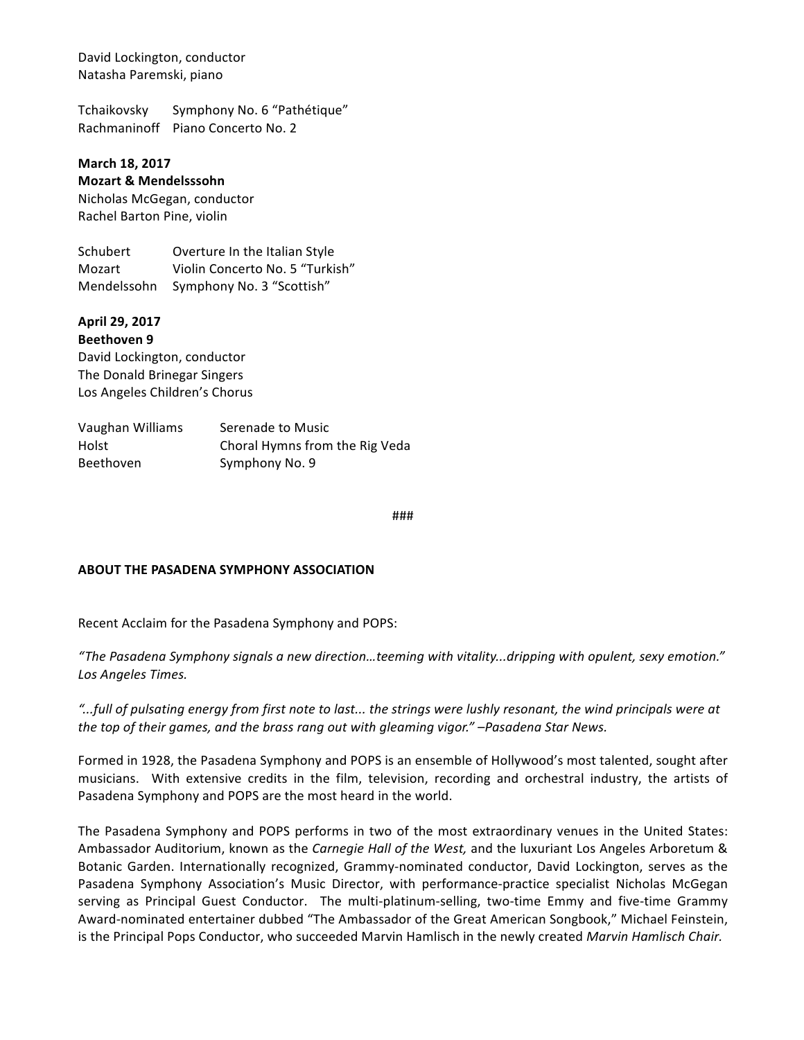David Lockington, conductor Natasha Paremski, piano

Tchaikovsky Symphony No. 6 "Pathétique" Rachmaninoff Piano Concerto No. 2

# **March 18, 2017**

## **Mozart & Mendelsssohn**

Nicholas McGegan, conductor Rachel Barton Pine, violin

Schubert Overture In the Italian Style Mozart Violin Concerto No. 5 "Turkish" Mendelssohn Symphony No. 3 "Scottish"

## **April 29, 2017**

**Beethoven 9** David Lockington, conductor The Donald Brinegar Singers Los Angeles Children's Chorus

| Vaughan Williams | Serenade to Music              |
|------------------|--------------------------------|
| Holst            | Choral Hymns from the Rig Veda |
| <b>Beethoven</b> | Symphony No. 9                 |

###

### **ABOUT THE PASADENA SYMPHONY ASSOCIATION**

Recent Acclaim for the Pasadena Symphony and POPS:

*"The Pasadena Symphony signals a new direction…teeming with vitality...dripping with opulent, sexy emotion."*  Los Angeles Times.

*"...full of pulsating energy from first note to last... the strings were lushly resonant, the wind principals were at*  the top of their games, and the brass rang out with gleaming vigor." –Pasadena Star News.

Formed in 1928, the Pasadena Symphony and POPS is an ensemble of Hollywood's most talented, sought after musicians. With extensive credits in the film, television, recording and orchestral industry, the artists of Pasadena Symphony and POPS are the most heard in the world.

The Pasadena Symphony and POPS performs in two of the most extraordinary venues in the United States: Ambassador Auditorium, known as the *Carnegie Hall of the West*, and the luxuriant Los Angeles Arboretum & Botanic Garden. Internationally recognized, Grammy-nominated conductor, David Lockington, serves as the Pasadena Symphony Association's Music Director, with performance-practice specialist Nicholas McGegan serving as Principal Guest Conductor. The multi-platinum-selling, two-time Emmy and five-time Grammy Award-nominated entertainer dubbed "The Ambassador of the Great American Songbook," Michael Feinstein, is the Principal Pops Conductor, who succeeded Marvin Hamlisch in the newly created Marvin Hamlisch Chair.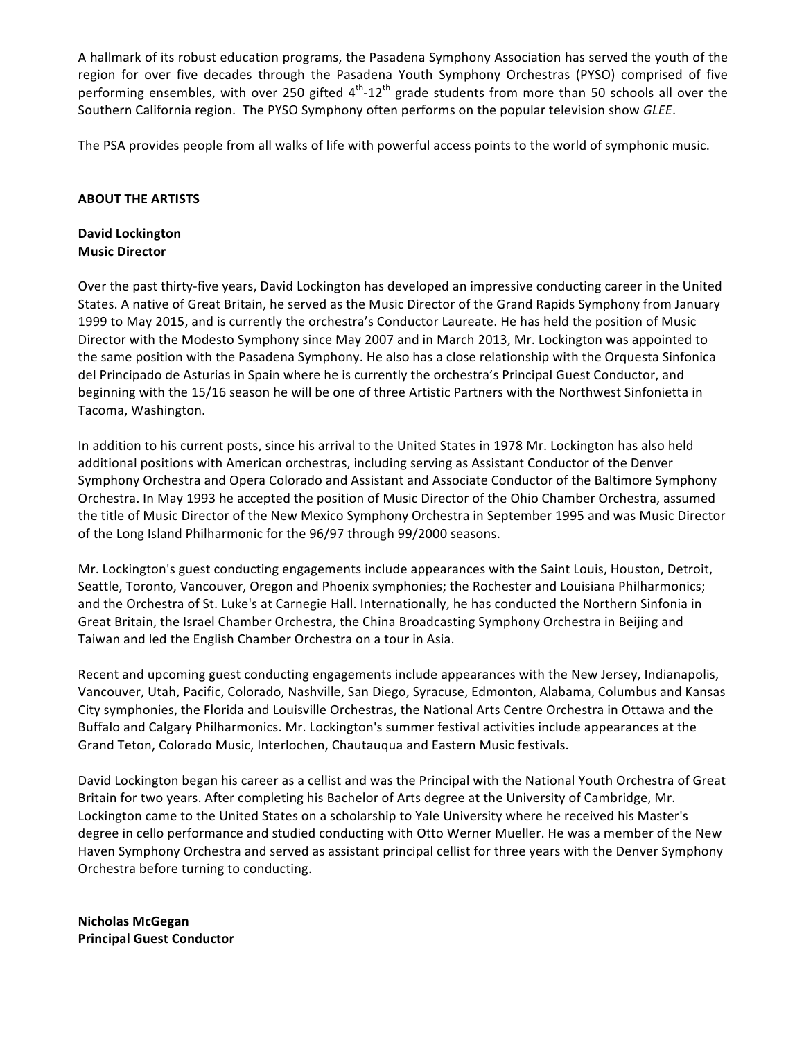A hallmark of its robust education programs, the Pasadena Symphony Association has served the youth of the region for over five decades through the Pasadena Youth Symphony Orchestras (PYSO) comprised of five performing ensembles, with over 250 gifted  $4^{th}$ -12<sup>th</sup> grade students from more than 50 schools all over the Southern California region. The PYSO Symphony often performs on the popular television show GLEE.

The PSA provides people from all walks of life with powerful access points to the world of symphonic music.

#### **ABOUT THE ARTISTS**

### **David Lockington Music Director**

Over the past thirty-five years, David Lockington has developed an impressive conducting career in the United States. A native of Great Britain, he served as the Music Director of the Grand Rapids Symphony from January 1999 to May 2015, and is currently the orchestra's Conductor Laureate. He has held the position of Music Director with the Modesto Symphony since May 2007 and in March 2013, Mr. Lockington was appointed to the same position with the Pasadena Symphony. He also has a close relationship with the Orquesta Sinfonica del Principado de Asturias in Spain where he is currently the orchestra's Principal Guest Conductor, and beginning with the 15/16 season he will be one of three Artistic Partners with the Northwest Sinfonietta in Tacoma, Washington.

In addition to his current posts, since his arrival to the United States in 1978 Mr. Lockington has also held additional positions with American orchestras, including serving as Assistant Conductor of the Denver Symphony Orchestra and Opera Colorado and Assistant and Associate Conductor of the Baltimore Symphony Orchestra. In May 1993 he accepted the position of Music Director of the Ohio Chamber Orchestra, assumed the title of Music Director of the New Mexico Symphony Orchestra in September 1995 and was Music Director of the Long Island Philharmonic for the 96/97 through 99/2000 seasons.

Mr. Lockington's guest conducting engagements include appearances with the Saint Louis, Houston, Detroit, Seattle, Toronto, Vancouver, Oregon and Phoenix symphonies; the Rochester and Louisiana Philharmonics; and the Orchestra of St. Luke's at Carnegie Hall. Internationally, he has conducted the Northern Sinfonia in Great Britain, the Israel Chamber Orchestra, the China Broadcasting Symphony Orchestra in Beijing and Taiwan and led the English Chamber Orchestra on a tour in Asia.

Recent and upcoming guest conducting engagements include appearances with the New Jersey, Indianapolis, Vancouver, Utah, Pacific, Colorado, Nashville, San Diego, Syracuse, Edmonton, Alabama, Columbus and Kansas City symphonies, the Florida and Louisville Orchestras, the National Arts Centre Orchestra in Ottawa and the Buffalo and Calgary Philharmonics. Mr. Lockington's summer festival activities include appearances at the Grand Teton, Colorado Music, Interlochen, Chautauqua and Eastern Music festivals.

David Lockington began his career as a cellist and was the Principal with the National Youth Orchestra of Great Britain for two years. After completing his Bachelor of Arts degree at the University of Cambridge, Mr. Lockington came to the United States on a scholarship to Yale University where he received his Master's degree in cello performance and studied conducting with Otto Werner Mueller. He was a member of the New Haven Symphony Orchestra and served as assistant principal cellist for three years with the Denver Symphony Orchestra before turning to conducting.

**Nicholas McGegan Principal Guest Conductor**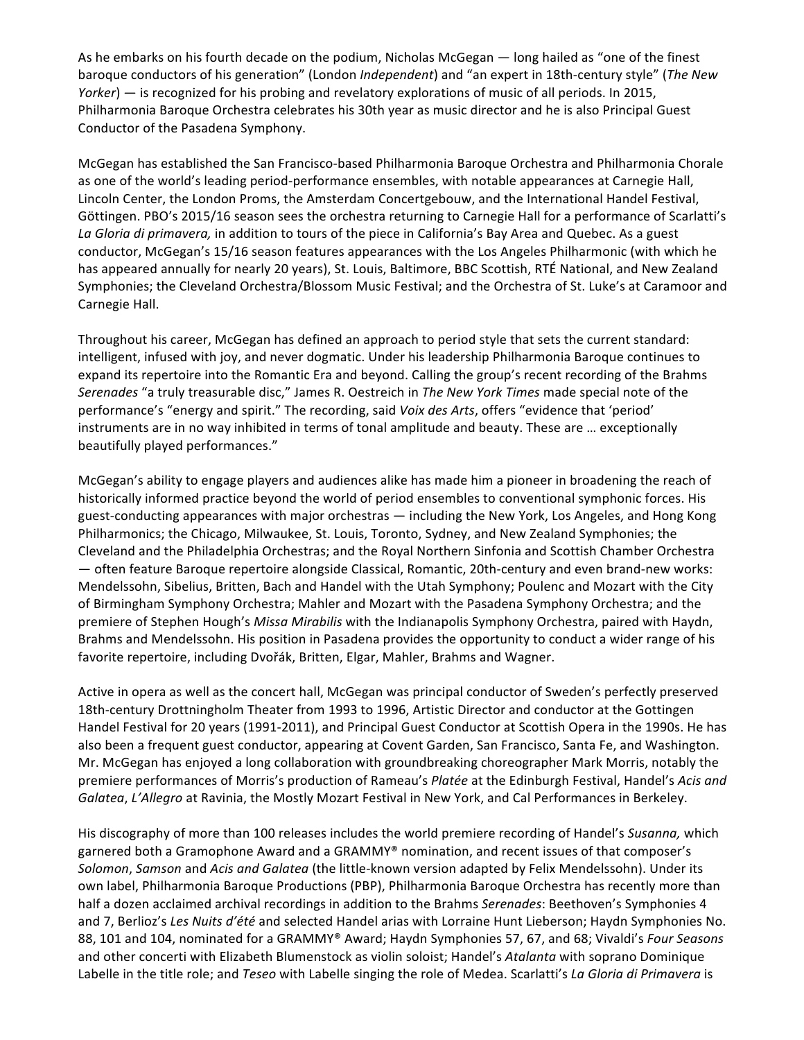As he embarks on his fourth decade on the podium, Nicholas McGegan — long hailed as "one of the finest baroque conductors of his generation" (London *Independent*) and "an expert in 18th-century style" (*The New Yorker*) — is recognized for his probing and revelatory explorations of music of all periods. In 2015, Philharmonia Baroque Orchestra celebrates his 30th year as music director and he is also Principal Guest Conductor of the Pasadena Symphony.

McGegan has established the San Francisco-based Philharmonia Baroque Orchestra and Philharmonia Chorale as one of the world's leading period-performance ensembles, with notable appearances at Carnegie Hall, Lincoln Center, the London Proms, the Amsterdam Concertgebouw, and the International Handel Festival, Göttingen. PBO's 2015/16 season sees the orchestra returning to Carnegie Hall for a performance of Scarlatti's La Gloria di primavera, in addition to tours of the piece in California's Bay Area and Quebec. As a guest conductor, McGegan's 15/16 season features appearances with the Los Angeles Philharmonic (with which he has appeared annually for nearly 20 years), St. Louis, Baltimore, BBC Scottish, RTÉ National, and New Zealand Symphonies; the Cleveland Orchestra/Blossom Music Festival; and the Orchestra of St. Luke's at Caramoor and Carnegie Hall.

Throughout his career, McGegan has defined an approach to period style that sets the current standard: intelligent, infused with joy, and never dogmatic. Under his leadership Philharmonia Baroque continues to expand its repertoire into the Romantic Era and beyond. Calling the group's recent recording of the Brahms Serenades "a truly treasurable disc," James R. Oestreich in The New York Times made special note of the performance's "energy and spirit." The recording, said Voix des Arts, offers "evidence that 'period' instruments are in no way inhibited in terms of tonal amplitude and beauty. These are ... exceptionally beautifully played performances."

McGegan's ability to engage players and audiences alike has made him a pioneer in broadening the reach of historically informed practice beyond the world of period ensembles to conventional symphonic forces. His guest-conducting appearances with major orchestras  $-$  including the New York, Los Angeles, and Hong Kong Philharmonics; the Chicago, Milwaukee, St. Louis, Toronto, Sydney, and New Zealand Symphonies; the Cleveland and the Philadelphia Orchestras; and the Royal Northern Sinfonia and Scottish Chamber Orchestra  $-$  often feature Baroque repertoire alongside Classical, Romantic, 20th-century and even brand-new works: Mendelssohn, Sibelius, Britten, Bach and Handel with the Utah Symphony; Poulenc and Mozart with the City of Birmingham Symphony Orchestra; Mahler and Mozart with the Pasadena Symphony Orchestra; and the premiere of Stephen Hough's *Missa Mirabilis* with the Indianapolis Symphony Orchestra, paired with Haydn, Brahms and Mendelssohn. His position in Pasadena provides the opportunity to conduct a wider range of his favorite repertoire, including Dvořák, Britten, Elgar, Mahler, Brahms and Wagner.

Active in opera as well as the concert hall, McGegan was principal conductor of Sweden's perfectly preserved 18th-century Drottningholm Theater from 1993 to 1996, Artistic Director and conductor at the Gottingen Handel Festival for 20 years (1991-2011), and Principal Guest Conductor at Scottish Opera in the 1990s. He has also been a frequent guest conductor, appearing at Covent Garden, San Francisco, Santa Fe, and Washington. Mr. McGegan has enjoyed a long collaboration with groundbreaking choreographer Mark Morris, notably the premiere performances of Morris's production of Rameau's *Platée* at the Edinburgh Festival, Handel's Acis and *Galatea, L'Allegro* at Ravinia, the Mostly Mozart Festival in New York, and Cal Performances in Berkeley.

His discography of more than 100 releases includes the world premiere recording of Handel's *Susanna*, which garnered both a Gramophone Award and a GRAMMY® nomination, and recent issues of that composer's *Solomon, Samson* and *Acis and Galatea* (the little-known version adapted by Felix Mendelssohn). Under its own label, Philharmonia Baroque Productions (PBP), Philharmonia Baroque Orchestra has recently more than half a dozen acclaimed archival recordings in addition to the Brahms Serenades: Beethoven's Symphonies 4 and 7, Berlioz's Les Nuits d'été and selected Handel arias with Lorraine Hunt Lieberson; Haydn Symphonies No. 88, 101 and 104, nominated for a GRAMMY® Award; Haydn Symphonies 57, 67, and 68; Vivaldi's *Four Seasons* and other concerti with Elizabeth Blumenstock as violin soloist; Handel's Atalanta with soprano Dominique Labelle in the title role; and *Teseo* with Labelle singing the role of Medea. Scarlatti's La Gloria di Primavera is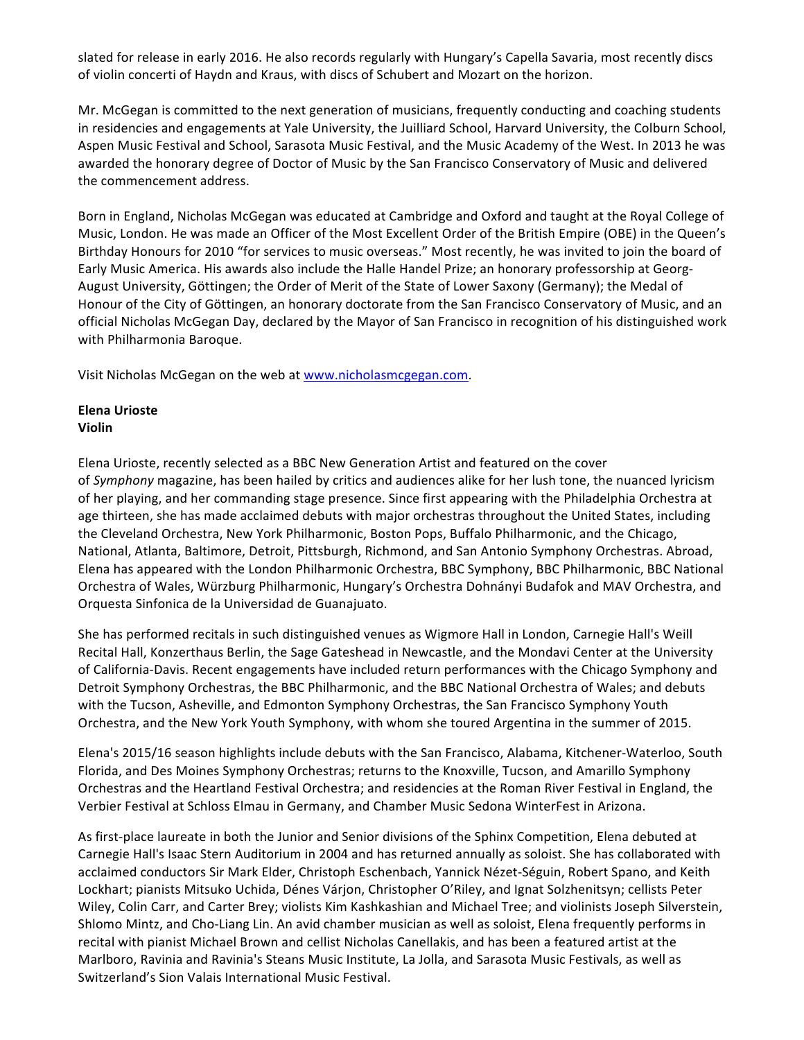slated for release in early 2016. He also records regularly with Hungary's Capella Savaria, most recently discs of violin concerti of Haydn and Kraus, with discs of Schubert and Mozart on the horizon.

Mr. McGegan is committed to the next generation of musicians, frequently conducting and coaching students in residencies and engagements at Yale University, the Juilliard School, Harvard University, the Colburn School, Aspen Music Festival and School, Sarasota Music Festival, and the Music Academy of the West. In 2013 he was awarded the honorary degree of Doctor of Music by the San Francisco Conservatory of Music and delivered the commencement address.

Born in England, Nicholas McGegan was educated at Cambridge and Oxford and taught at the Royal College of Music, London. He was made an Officer of the Most Excellent Order of the British Empire (OBE) in the Queen's Birthday Honours for 2010 "for services to music overseas." Most recently, he was invited to join the board of Early Music America. His awards also include the Halle Handel Prize; an honorary professorship at Georg-August University, Göttingen; the Order of Merit of the State of Lower Saxony (Germany); the Medal of Honour of the City of Göttingen, an honorary doctorate from the San Francisco Conservatory of Music, and an official Nicholas McGegan Day, declared by the Mayor of San Francisco in recognition of his distinguished work with Philharmonia Baroque.

Visit Nicholas McGegan on the web at www.nicholasmcgegan.com.

## **Elena Urioste Violin**

Elena Urioste, recently selected as a BBC New Generation Artist and featured on the cover of *Symphony* magazine, has been hailed by critics and audiences alike for her lush tone, the nuanced lyricism of her playing, and her commanding stage presence. Since first appearing with the Philadelphia Orchestra at age thirteen, she has made acclaimed debuts with major orchestras throughout the United States, including the Cleveland Orchestra, New York Philharmonic, Boston Pops, Buffalo Philharmonic, and the Chicago, National, Atlanta, Baltimore, Detroit, Pittsburgh, Richmond, and San Antonio Symphony Orchestras. Abroad, Elena has appeared with the London Philharmonic Orchestra, BBC Symphony, BBC Philharmonic, BBC National Orchestra of Wales, Würzburg Philharmonic, Hungary's Orchestra Dohnányi Budafok and MAV Orchestra, and Orquesta Sinfonica de la Universidad de Guanajuato.

She has performed recitals in such distinguished venues as Wigmore Hall in London, Carnegie Hall's Weill Recital Hall, Konzerthaus Berlin, the Sage Gateshead in Newcastle, and the Mondavi Center at the University of California-Davis. Recent engagements have included return performances with the Chicago Symphony and Detroit Symphony Orchestras, the BBC Philharmonic, and the BBC National Orchestra of Wales; and debuts with the Tucson, Asheville, and Edmonton Symphony Orchestras, the San Francisco Symphony Youth Orchestra, and the New York Youth Symphony, with whom she toured Argentina in the summer of 2015.

Elena's 2015/16 season highlights include debuts with the San Francisco, Alabama, Kitchener-Waterloo, South Florida, and Des Moines Symphony Orchestras; returns to the Knoxville, Tucson, and Amarillo Symphony Orchestras and the Heartland Festival Orchestra; and residencies at the Roman River Festival in England, the Verbier Festival at Schloss Elmau in Germany, and Chamber Music Sedona WinterFest in Arizona.

As first-place laureate in both the Junior and Senior divisions of the Sphinx Competition, Elena debuted at Carnegie Hall's Isaac Stern Auditorium in 2004 and has returned annually as soloist. She has collaborated with acclaimed conductors Sir Mark Elder, Christoph Eschenbach, Yannick Nézet-Séguin, Robert Spano, and Keith Lockhart; pianists Mitsuko Uchida, Dénes Várjon, Christopher O'Riley, and Ignat Solzhenitsyn; cellists Peter Wiley, Colin Carr, and Carter Brey; violists Kim Kashkashian and Michael Tree; and violinists Joseph Silverstein, Shlomo Mintz, and Cho-Liang Lin. An avid chamber musician as well as soloist, Elena frequently performs in recital with pianist Michael Brown and cellist Nicholas Canellakis, and has been a featured artist at the Marlboro, Ravinia and Ravinia's Steans Music Institute, La Jolla, and Sarasota Music Festivals, as well as Switzerland's Sion Valais International Music Festival.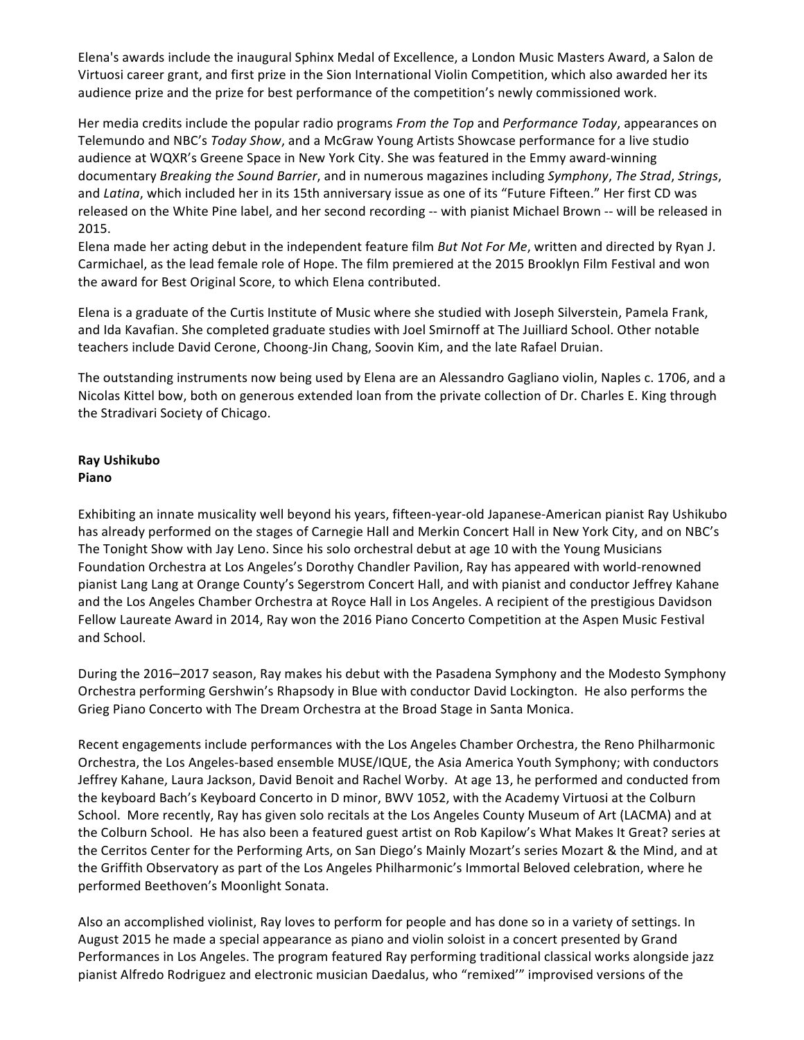Elena's awards include the inaugural Sphinx Medal of Excellence, a London Music Masters Award, a Salon de Virtuosi career grant, and first prize in the Sion International Violin Competition, which also awarded her its audience prize and the prize for best performance of the competition's newly commissioned work.

Her media credits include the popular radio programs *From the Top* and *Performance Today*, appearances on Telemundo and NBC's *Today Show*, and a McGraw Young Artists Showcase performance for a live studio audience at WQXR's Greene Space in New York City. She was featured in the Emmy award-winning documentary *Breaking the Sound Barrier*, and in numerous magazines including *Symphony*, *The Strad*, *Strings*, and *Latina*, which included her in its 15th anniversary issue as one of its "Future Fifteen." Her first CD was released on the White Pine label, and her second recording -- with pianist Michael Brown -- will be released in 2015.

Elena made her acting debut in the independent feature film *But Not For Me*, written and directed by Ryan J. Carmichael, as the lead female role of Hope. The film premiered at the 2015 Brooklyn Film Festival and won the award for Best Original Score, to which Elena contributed.

Elena is a graduate of the Curtis Institute of Music where she studied with Joseph Silverstein, Pamela Frank, and Ida Kavafian. She completed graduate studies with Joel Smirnoff at The Juilliard School. Other notable teachers include David Cerone, Choong-Jin Chang, Soovin Kim, and the late Rafael Druian.

The outstanding instruments now being used by Elena are an Alessandro Gagliano violin, Naples c. 1706, and a Nicolas Kittel bow, both on generous extended loan from the private collection of Dr. Charles E. King through the Stradivari Society of Chicago.

### **Ray Ushikubo Piano**

Exhibiting an innate musicality well beyond his years, fifteen-year-old Japanese-American pianist Ray Ushikubo has already performed on the stages of Carnegie Hall and Merkin Concert Hall in New York City, and on NBC's The Tonight Show with Jay Leno. Since his solo orchestral debut at age 10 with the Young Musicians Foundation Orchestra at Los Angeles's Dorothy Chandler Pavilion, Ray has appeared with world-renowned pianist Lang Lang at Orange County's Segerstrom Concert Hall, and with pianist and conductor Jeffrey Kahane and the Los Angeles Chamber Orchestra at Royce Hall in Los Angeles. A recipient of the prestigious Davidson Fellow Laureate Award in 2014, Ray won the 2016 Piano Concerto Competition at the Aspen Music Festival and School.

During the 2016–2017 season, Ray makes his debut with the Pasadena Symphony and the Modesto Symphony Orchestra performing Gershwin's Rhapsody in Blue with conductor David Lockington. He also performs the Grieg Piano Concerto with The Dream Orchestra at the Broad Stage in Santa Monica.

Recent engagements include performances with the Los Angeles Chamber Orchestra, the Reno Philharmonic Orchestra, the Los Angeles-based ensemble MUSE/IQUE, the Asia America Youth Symphony; with conductors Jeffrey Kahane, Laura Jackson, David Benoit and Rachel Worby. At age 13, he performed and conducted from the keyboard Bach's Keyboard Concerto in D minor, BWV 1052, with the Academy Virtuosi at the Colburn School. More recently, Ray has given solo recitals at the Los Angeles County Museum of Art (LACMA) and at the Colburn School. He has also been a featured guest artist on Rob Kapilow's What Makes It Great? series at the Cerritos Center for the Performing Arts, on San Diego's Mainly Mozart's series Mozart & the Mind, and at the Griffith Observatory as part of the Los Angeles Philharmonic's Immortal Beloved celebration, where he performed Beethoven's Moonlight Sonata.

Also an accomplished violinist, Ray loves to perform for people and has done so in a variety of settings. In August 2015 he made a special appearance as piano and violin soloist in a concert presented by Grand Performances in Los Angeles. The program featured Ray performing traditional classical works alongside jazz pianist Alfredo Rodriguez and electronic musician Daedalus, who "remixed'" improvised versions of the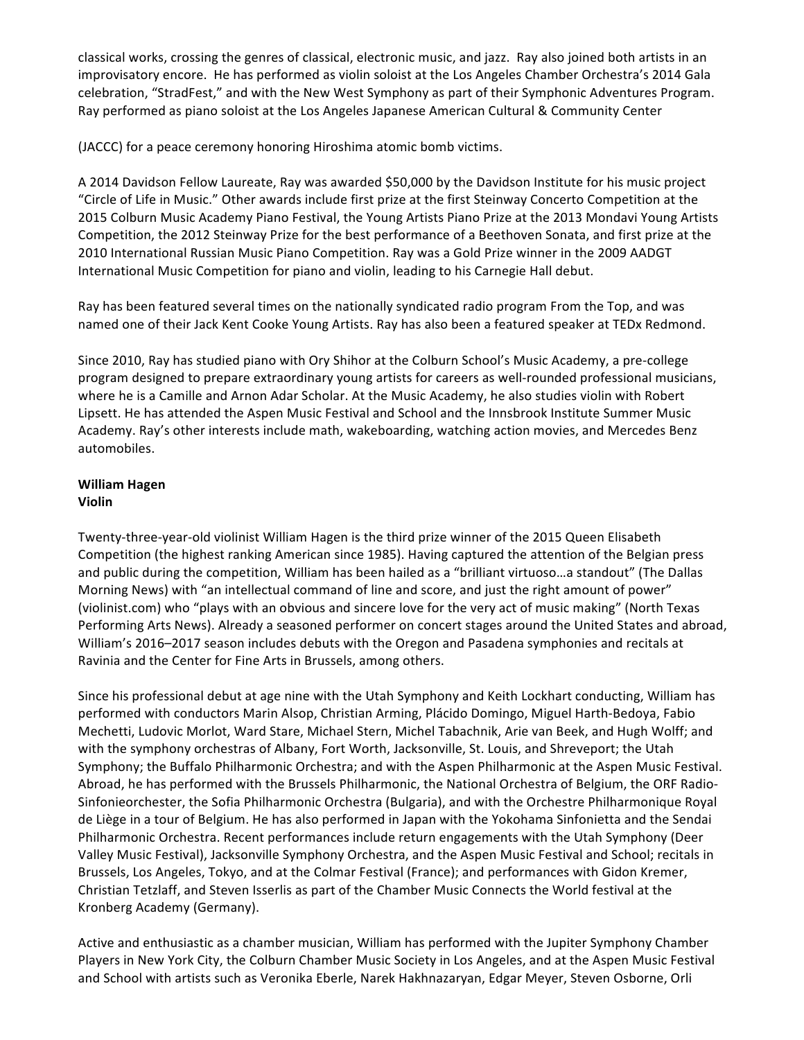classical works, crossing the genres of classical, electronic music, and jazz. Ray also joined both artists in an improvisatory encore. He has performed as violin soloist at the Los Angeles Chamber Orchestra's 2014 Gala celebration, "StradFest," and with the New West Symphony as part of their Symphonic Adventures Program. Ray performed as piano soloist at the Los Angeles Japanese American Cultural & Community Center

(JACCC) for a peace ceremony honoring Hiroshima atomic bomb victims.

A 2014 Davidson Fellow Laureate, Ray was awarded \$50,000 by the Davidson Institute for his music project "Circle of Life in Music." Other awards include first prize at the first Steinway Concerto Competition at the 2015 Colburn Music Academy Piano Festival, the Young Artists Piano Prize at the 2013 Mondavi Young Artists Competition, the 2012 Steinway Prize for the best performance of a Beethoven Sonata, and first prize at the 2010 International Russian Music Piano Competition. Ray was a Gold Prize winner in the 2009 AADGT International Music Competition for piano and violin, leading to his Carnegie Hall debut.

Ray has been featured several times on the nationally syndicated radio program From the Top, and was named one of their Jack Kent Cooke Young Artists. Ray has also been a featured speaker at TEDx Redmond.

Since 2010, Ray has studied piano with Ory Shihor at the Colburn School's Music Academy, a pre-college program designed to prepare extraordinary young artists for careers as well-rounded professional musicians, where he is a Camille and Arnon Adar Scholar. At the Music Academy, he also studies violin with Robert Lipsett. He has attended the Aspen Music Festival and School and the Innsbrook Institute Summer Music Academy. Ray's other interests include math, wakeboarding, watching action movies, and Mercedes Benz automobiles. 

#### **William Hagen Violin**

Twenty-three-year-old violinist William Hagen is the third prize winner of the 2015 Queen Elisabeth Competition (the highest ranking American since 1985). Having captured the attention of the Belgian press and public during the competition, William has been hailed as a "brilliant virtuoso...a standout" (The Dallas Morning News) with "an intellectual command of line and score, and just the right amount of power" (violinist.com) who "plays with an obvious and sincere love for the very act of music making" (North Texas Performing Arts News). Already a seasoned performer on concert stages around the United States and abroad, William's 2016–2017 season includes debuts with the Oregon and Pasadena symphonies and recitals at Ravinia and the Center for Fine Arts in Brussels, among others.

Since his professional debut at age nine with the Utah Symphony and Keith Lockhart conducting, William has performed with conductors Marin Alsop, Christian Arming, Plácido Domingo, Miguel Harth-Bedoya, Fabio Mechetti, Ludovic Morlot, Ward Stare, Michael Stern, Michel Tabachnik, Arie van Beek, and Hugh Wolff; and with the symphony orchestras of Albany, Fort Worth, Jacksonville, St. Louis, and Shreveport; the Utah Symphony; the Buffalo Philharmonic Orchestra; and with the Aspen Philharmonic at the Aspen Music Festival. Abroad, he has performed with the Brussels Philharmonic, the National Orchestra of Belgium, the ORF Radio-Sinfonieorchester, the Sofia Philharmonic Orchestra (Bulgaria), and with the Orchestre Philharmonique Royal de Liège in a tour of Belgium. He has also performed in Japan with the Yokohama Sinfonietta and the Sendai Philharmonic Orchestra. Recent performances include return engagements with the Utah Symphony (Deer Valley Music Festival), Jacksonville Symphony Orchestra, and the Aspen Music Festival and School; recitals in Brussels, Los Angeles, Tokyo, and at the Colmar Festival (France); and performances with Gidon Kremer, Christian Tetzlaff, and Steven Isserlis as part of the Chamber Music Connects the World festival at the Kronberg Academy (Germany).

Active and enthusiastic as a chamber musician, William has performed with the Jupiter Symphony Chamber Players in New York City, the Colburn Chamber Music Society in Los Angeles, and at the Aspen Music Festival and School with artists such as Veronika Eberle, Narek Hakhnazaryan, Edgar Meyer, Steven Osborne, Orli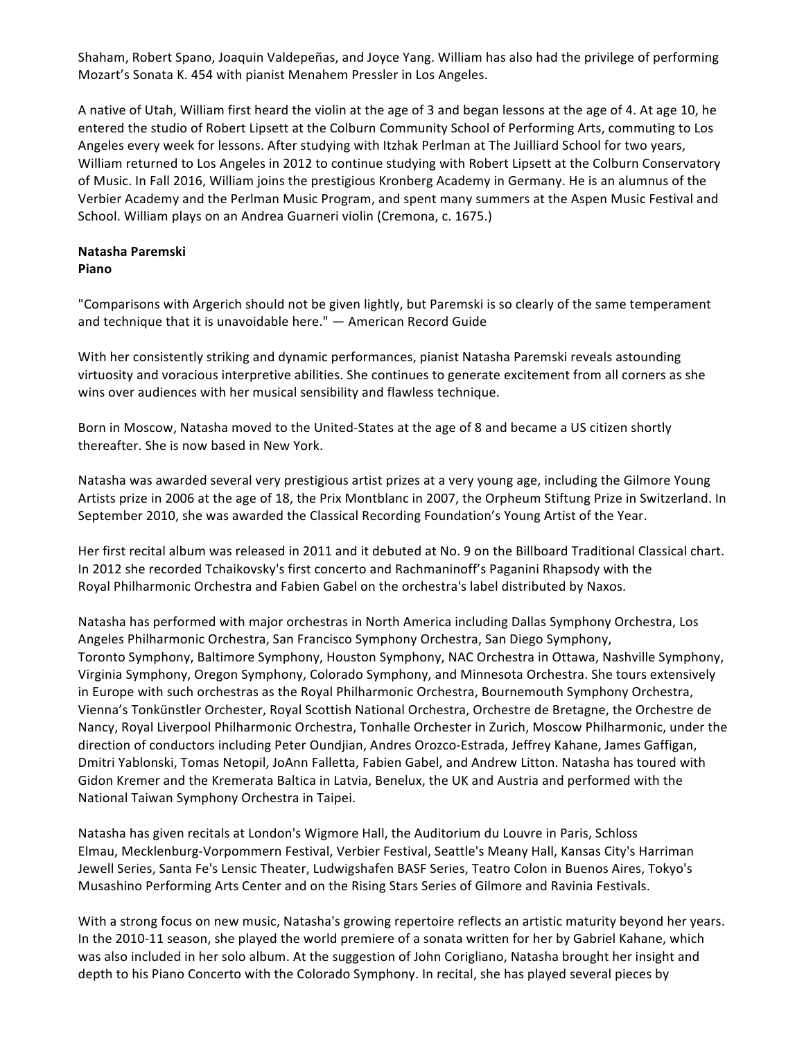Shaham, Robert Spano, Joaquin Valdepeñas, and Joyce Yang. William has also had the privilege of performing Mozart's Sonata K. 454 with pianist Menahem Pressler in Los Angeles.

A native of Utah, William first heard the violin at the age of 3 and began lessons at the age of 4. At age 10, he entered the studio of Robert Lipsett at the Colburn Community School of Performing Arts, commuting to Los Angeles every week for lessons. After studying with Itzhak Perlman at The Juilliard School for two years, William returned to Los Angeles in 2012 to continue studying with Robert Lipsett at the Colburn Conservatory of Music. In Fall 2016, William joins the prestigious Kronberg Academy in Germany. He is an alumnus of the Verbier Academy and the Perlman Music Program, and spent many summers at the Aspen Music Festival and School. William plays on an Andrea Guarneri violin (Cremona, c. 1675.)

#### **Natasha Paremski Piano**

"Comparisons with Argerich should not be given lightly, but Paremski is so clearly of the same temperament and technique that it is unavoidable here."  $-$  American Record Guide

With her consistently striking and dynamic performances, pianist Natasha Paremski reveals astounding virtuosity and voracious interpretive abilities. She continues to generate excitement from all corners as she wins over audiences with her musical sensibility and flawless technique.

Born in Moscow, Natasha moved to the United-States at the age of 8 and became a US citizen shortly thereafter. She is now based in New York.

Natasha was awarded several very prestigious artist prizes at a very young age, including the Gilmore Young Artists prize in 2006 at the age of 18, the Prix Montblanc in 2007, the Orpheum Stiftung Prize in Switzerland. In September 2010, she was awarded the Classical Recording Foundation's Young Artist of the Year.

Her first recital album was released in 2011 and it debuted at No. 9 on the Billboard Traditional Classical chart. In 2012 she recorded Tchaikovsky's first concerto and Rachmaninoff's Paganini Rhapsody with the Royal Philharmonic Orchestra and Fabien Gabel on the orchestra's label distributed by Naxos.

Natasha has performed with major orchestras in North America including Dallas Symphony Orchestra, Los Angeles Philharmonic Orchestra, San Francisco Symphony Orchestra, San Diego Symphony, Toronto Symphony, Baltimore Symphony, Houston Symphony, NAC Orchestra in Ottawa, Nashville Symphony, Virginia Symphony, Oregon Symphony, Colorado Symphony, and Minnesota Orchestra. She tours extensively in Europe with such orchestras as the Royal Philharmonic Orchestra, Bournemouth Symphony Orchestra, Vienna's Tonkünstler Orchester, Royal Scottish National Orchestra, Orchestre de Bretagne, the Orchestre de Nancy, Royal Liverpool Philharmonic Orchestra, Tonhalle Orchester in Zurich, Moscow Philharmonic, under the direction of conductors including Peter Oundiian, Andres Orozco-Estrada, Jeffrey Kahane, James Gaffigan, Dmitri Yablonski, Tomas Netopil, JoAnn Falletta, Fabien Gabel, and Andrew Litton. Natasha has toured with Gidon Kremer and the Kremerata Baltica in Latvia, Benelux, the UK and Austria and performed with the National Taiwan Symphony Orchestra in Taipei.

Natasha has given recitals at London's Wigmore Hall, the Auditorium du Louvre in Paris, Schloss Elmau, Mecklenburg-Vorpommern Festival, Verbier Festival, Seattle's Meany Hall, Kansas City's Harriman Jewell Series, Santa Fe's Lensic Theater, Ludwigshafen BASF Series, Teatro Colon in Buenos Aires, Tokyo's Musashino Performing Arts Center and on the Rising Stars Series of Gilmore and Ravinia Festivals.

With a strong focus on new music, Natasha's growing repertoire reflects an artistic maturity beyond her years. In the 2010-11 season, she played the world premiere of a sonata written for her by Gabriel Kahane, which was also included in her solo album. At the suggestion of John Corigliano, Natasha brought her insight and depth to his Piano Concerto with the Colorado Symphony. In recital, she has played several pieces by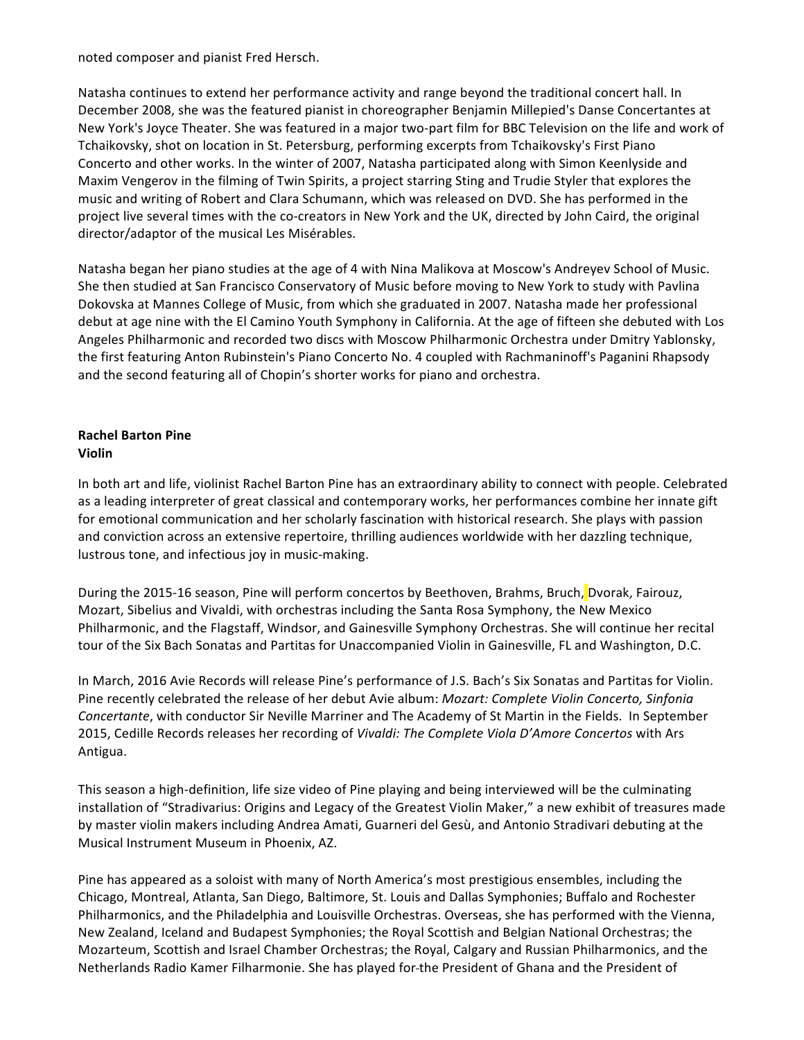noted composer and pianist Fred Hersch.

Natasha continues to extend her performance activity and range beyond the traditional concert hall. In December 2008, she was the featured pianist in choreographer Benjamin Millepied's Danse Concertantes at New York's Joyce Theater. She was featured in a major two-part film for BBC Television on the life and work of Tchaikovsky, shot on location in St. Petersburg, performing excerpts from Tchaikovsky's First Piano Concerto and other works. In the winter of 2007, Natasha participated along with Simon Keenlyside and Maxim Vengerov in the filming of Twin Spirits, a project starring Sting and Trudie Styler that explores the music and writing of Robert and Clara Schumann, which was released on DVD. She has performed in the project live several times with the co-creators in New York and the UK, directed by John Caird, the original director/adaptor of the musical Les Misérables.

Natasha began her piano studies at the age of 4 with Nina Malikova at Moscow's Andreyev School of Music. She then studied at San Francisco Conservatory of Music before moving to New York to study with Pavlina Dokovska at Mannes College of Music, from which she graduated in 2007. Natasha made her professional debut at age nine with the El Camino Youth Symphony in California. At the age of fifteen she debuted with Los Angeles Philharmonic and recorded two discs with Moscow Philharmonic Orchestra under Dmitry Yablonsky, the first featuring Anton Rubinstein's Piano Concerto No. 4 coupled with Rachmaninoff's Paganini Rhapsody and the second featuring all of Chopin's shorter works for piano and orchestra.

## **Rachel Barton Pine Violin**

In both art and life, violinist Rachel Barton Pine has an extraordinary ability to connect with people. Celebrated as a leading interpreter of great classical and contemporary works, her performances combine her innate gift for emotional communication and her scholarly fascination with historical research. She plays with passion and conviction across an extensive repertoire, thrilling audiences worldwide with her dazzling technique, lustrous tone, and infectious joy in music-making.

During the 2015-16 season, Pine will perform concertos by Beethoven, Brahms, Bruch, Dvorak, Fairouz, Mozart, Sibelius and Vivaldi, with orchestras including the Santa Rosa Symphony, the New Mexico Philharmonic, and the Flagstaff, Windsor, and Gainesville Symphony Orchestras. She will continue her recital tour of the Six Bach Sonatas and Partitas for Unaccompanied Violin in Gainesville, FL and Washington, D.C.

In March, 2016 Avie Records will release Pine's performance of J.S. Bach's Six Sonatas and Partitas for Violin. Pine recently celebrated the release of her debut Avie album: *Mozart: Complete Violin Concerto, Sinfonia Concertante*, with conductor Sir Neville Marriner and The Academy of St Martin in the Fields. In September 2015, Cedille Records releases her recording of *Vivaldi: The Complete Viola D'Amore Concertos* with Ars Antigua.

This season a high-definition, life size video of Pine playing and being interviewed will be the culminating installation of "Stradivarius: Origins and Legacy of the Greatest Violin Maker," a new exhibit of treasures made by master violin makers including Andrea Amati, Guarneri del Gesù, and Antonio Stradivari debuting at the Musical Instrument Museum in Phoenix, AZ.

Pine has appeared as a soloist with many of North America's most prestigious ensembles, including the Chicago, Montreal, Atlanta, San Diego, Baltimore, St. Louis and Dallas Symphonies; Buffalo and Rochester Philharmonics, and the Philadelphia and Louisville Orchestras. Overseas, she has performed with the Vienna, New Zealand, Iceland and Budapest Symphonies; the Royal Scottish and Belgian National Orchestras; the Mozarteum, Scottish and Israel Chamber Orchestras; the Royal, Calgary and Russian Philharmonics, and the Netherlands Radio Kamer Filharmonie. She has played for-the President of Ghana and the President of